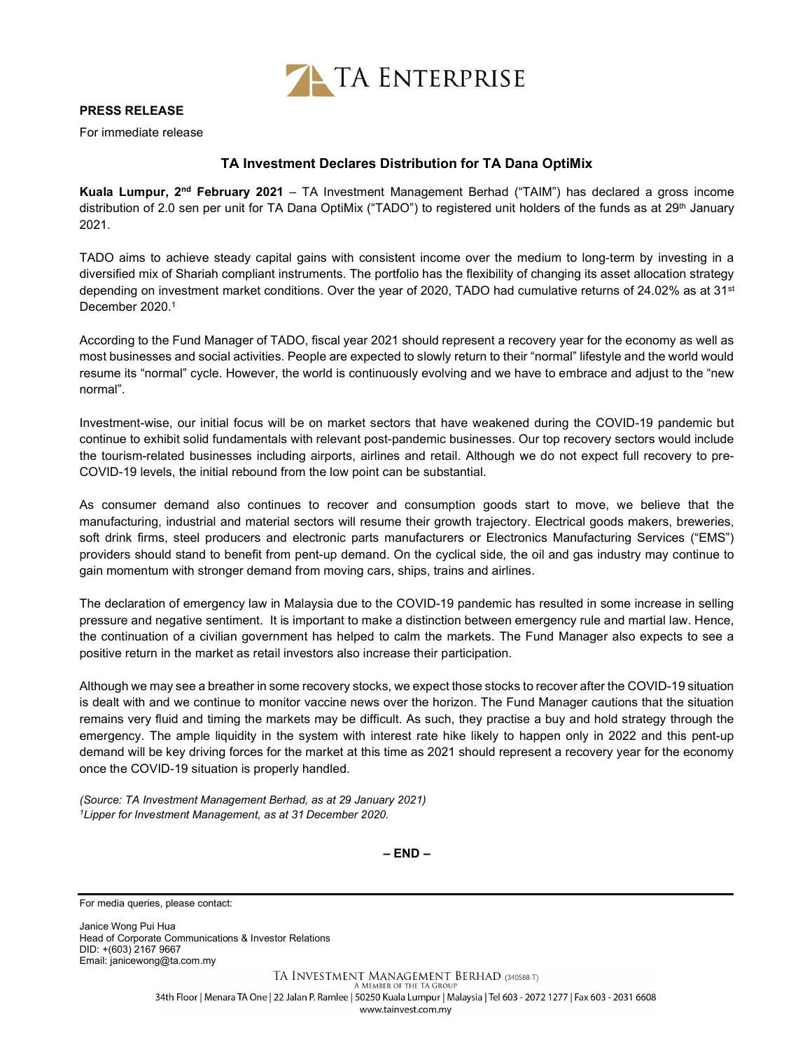

## PRESS RELEASE

For immediate release

## TA Investment Declares Distribution for TA Dana OptiMix

Kuala Lumpur,  $2^{nd}$  February 2021 – TA Investment Management Berhad ("TAIM") has declared a gross income distribution of 2.0 sen per unit for TA Dana OptiMix ("TADO") to registered unit holders of the funds as at 29<sup>th</sup> January 2021.

TADO aims to achieve steady capital gains with consistent income over the medium to long-term by investing in a diversified mix of Shariah compliant instruments. The portfolio has the flexibility of changing its asset allocation strategy depending on investment market conditions. Over the year of 2020, TADO had cumulative returns of 24.02% as at 31<sup>st</sup> December 2020.<sup>1</sup>

According to the Fund Manager of TADO, fiscal year 2021 should represent a recovery year for the economy as well as most businesses and social activities. People are expected to slowly return to their "normal" lifestyle and the world would resume its "normal" cycle. However, the world is continuously evolving and we have to embrace and adjust to the "new normal".

Investment-wise, our initial focus will be on market sectors that have weakened during the COVID-19 pandemic but continue to exhibit solid fundamentals with relevant post-pandemic businesses. Our top recovery sectors would include the tourism-related businesses including airports, airlines and retail. Although we do not expect full recovery to pre-COVID-19 levels, the initial rebound from the low point can be substantial.

As consumer demand also continues to recover and consumption goods start to move, we believe that the manufacturing, industrial and material sectors will resume their growth trajectory. Electrical goods makers, breweries, soft drink firms, steel producers and electronic parts manufacturers or Electronics Manufacturing Services ("EMS") providers should stand to benefit from pent-up demand. On the cyclical side, the oil and gas industry may continue to gain momentum with stronger demand from moving cars, ships, trains and airlines.

The declaration of emergency law in Malaysia due to the COVID-19 pandemic has resulted in some increase in selling pressure and negative sentiment. It is important to make a distinction between emergency rule and martial law. Hence, the continuation of a civilian government has helped to calm the markets. The Fund Manager also expects to see a positive return in the market as retail investors also increase their participation.

Although we may see a breather in some recovery stocks, we expect those stocks to recover after the COVID-19 situation is dealt with and we continue to monitor vaccine news over the horizon. The Fund Manager cautions that the situation remains very fluid and timing the markets may be difficult. As such, they practise a buy and hold strategy through the emergency. The ample liquidity in the system with interest rate hike likely to happen only in 2022 and this pent-up demand will be key driving forces for the market at this time as 2021 should represent a recovery year for the economy once the COVID-19 situation is properly handled.

(Source: TA Investment Management Berhad, as at 29 January 2021) <sup>1</sup>Lipper for Investment Management, as at 31 December 2020.

– END –

For media queries, please contact:

Janice Wong Pui Hua Head of Corporate Communications & Investor Relations DID: +(603) 2167 9667 Email: janicewong@ta.com.my